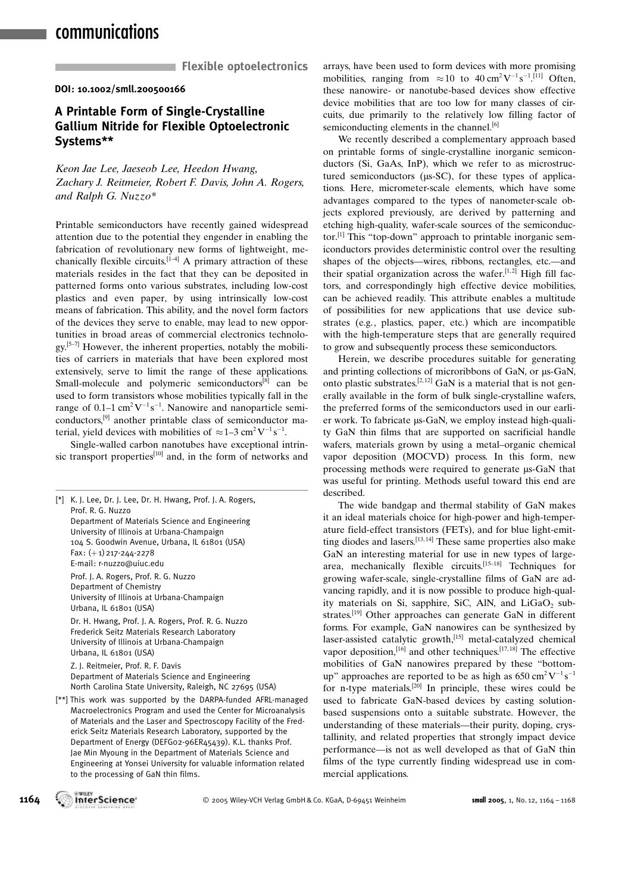## communications

**Flexible optoelectronics** 

DOI: 10.1002/smll.200500166

### A Printable Form of Single-Crystalline Gallium Nitride for Flexible Optoelectronic Systems\*\*

Keon Jae Lee, Jaeseob Lee, Heedon Hwang, Zachary J. Reitmeier, Robert F. Davis, John A. Rogers, and Ralph G. Nuzzo\*

Printable semiconductors have recently gained widespread attention due to the potential they engender in enabling the fabrication of revolutionary new forms of lightweight, mechanically flexible circuits.<sup>[1-4]</sup> A primary attraction of these materials resides in the fact that they can be deposited in patterned forms onto various substrates, including low-cost plastics and even paper, by using intrinsically low-cost means of fabrication. This ability, and the novel form factors of the devices they serve to enable, may lead to new opportunities in broad areas of commercial electronics technology.[5–7] However, the inherent properties, notably the mobilities of carriers in materials that have been explored most extensively, serve to limit the range of these applications. Small-molecule and polymeric semiconductors $[8]$  can be used to form transistors whose mobilities typically fall in the range of  $0.1$ –1 cm<sup>2</sup>V<sup>-1</sup>s<sup>-1</sup>. Nanowire and nanoparticle semiconductors,[9] another printable class of semiconductor material, yield devices with mobilities of  $\approx 1-3$  cm<sup>2</sup>V<sup>-1</sup>s<sup>-1</sup>.

Single-walled carbon nanotubes have exceptional intrinsic transport properties<sup>[10]</sup> and, in the form of networks and

| [*] | K. J. Lee, Dr. J. Lee, Dr. H. Hwang, Prof. J. A. Rogers,<br>Prof. R. G. Nuzzo                                                                                                                                                                                       |
|-----|---------------------------------------------------------------------------------------------------------------------------------------------------------------------------------------------------------------------------------------------------------------------|
|     | Department of Materials Science and Engineering<br>University of Illinois at Urbana-Champaign<br>104 S. Goodwin Avenue, Urbana, IL 61801 (USA)<br>Fax: $(+1)$ 217-244-2278<br>E-mail: r-nuzzo@uiuc.edu                                                              |
|     | Prof. J. A. Rogers, Prof. R. G. Nuzzo<br>Department of Chemistry<br>University of Illinois at Urbana-Champaign<br>Urbana, IL 61801 (USA)                                                                                                                            |
|     | Dr. H. Hwang, Prof. J. A. Rogers, Prof. R. G. Nuzzo<br>Frederick Seitz Materials Research Laboratory<br>University of Illinois at Urbana-Champaign<br>Urbana, IL 61801 (USA)                                                                                        |
|     | Z. J. Reitmeier, Prof. R. F. Davis<br>Department of Materials Science and Engineering<br>North Carolina State University, Raleigh, NC 27695 (USA)                                                                                                                   |
|     | [**] This work was supported by the DARPA-funded AFRL-managed<br>Macroelectronics Program and used the Center for Microanalysis<br>of Materials and the Laser and Spectroscopy Facility of the Fred-<br>erick Seitz Materials Research Laboratory, supported by the |

Department of Energy (DEFG02-96ER45439). K.L. thanks Prof. Jae Min Myoung in the Department of Materials Science and Engineering at Yonsei University for valuable information related to the processing of GaN thin films.

arrays, have been used to form devices with more promising mobilities, ranging from  $\approx 10$  to  $40 \text{ cm}^2 \text{V}^{-1} \text{s}^{-1}$ .<sup>[11]</sup> Often, these nanowire- or nanotube-based devices show effective device mobilities that are too low for many classes of circuits, due primarily to the relatively low filling factor of semiconducting elements in the channel.<sup>[6]</sup>

We recently described a complementary approach based on printable forms of single-crystalline inorganic semiconductors (Si, GaAs, InP), which we refer to as microstructured semiconductors ( $\mu$ s-SC), for these types of applications. Here, micrometer-scale elements, which have some advantages compared to the types of nanometer-scale objects explored previously, are derived by patterning and etching high-quality, wafer-scale sources of the semiconductor.<sup>[1]</sup> This "top-down" approach to printable inorganic semiconductors provides deterministic control over the resulting shapes of the objects—wires, ribbons, rectangles, etc.—and their spatial organization across the wafer.<sup>[1,2]</sup> High fill factors, and correspondingly high effective device mobilities, can be achieved readily. This attribute enables a multitude of possibilities for new applications that use device substrates (e.g., plastics, paper, etc.) which are incompatible with the high-temperature steps that are generally required to grow and subsequently process these semiconductors.

Herein, we describe procedures suitable for generating and printing collections of microribbons of GaN, or  $\mu$ s-GaN, onto plastic substrates.<sup>[2,12]</sup> GaN is a material that is not generally available in the form of bulk single-crystalline wafers, the preferred forms of the semiconductors used in our earlier work. To fabricate  $\mu$ s-GaN, we employ instead high-quality GaN thin films that are supported on sacrificial handle wafers, materials grown by using a metal–organic chemical vapor deposition (MOCVD) process. In this form, new processing methods were required to generate  $\mu$ s-GaN that was useful for printing. Methods useful toward this end are described.

The wide bandgap and thermal stability of GaN makes it an ideal materials choice for high-power and high-temperature field-effect transistors (FETs), and for blue light-emitting diodes and lasers.<sup>[13,14]</sup> These same properties also make GaN an interesting material for use in new types of largearea, mechanically flexible circuits.<sup>[15–18]</sup> Techniques for growing wafer-scale, single-crystalline films of GaN are advancing rapidly, and it is now possible to produce high-quality materials on Si, sapphire, SiC, AlN, and  $LiGaO<sub>2</sub>$  substrates.[19] Other approaches can generate GaN in different forms. For example, GaN nanowires can be synthesized by laser-assisted catalytic growth,[15] metal-catalyzed chemical vapor deposition,<sup>[16]</sup> and other techniques.<sup>[17,18]</sup> The effective mobilities of GaN nanowires prepared by these "bottomup" approaches are reported to be as high as  $650 \text{ cm}^2 \text{V}^{-1} \text{s}^{-1}$ for n-type materials.[20] In principle, these wires could be used to fabricate GaN-based devices by casting solutionbased suspensions onto a suitable substrate. However, the understanding of these materials—their purity, doping, crystallinity, and related properties that strongly impact device performance—is not as well developed as that of GaN thin films of the type currently finding widespread use in commercial applications.

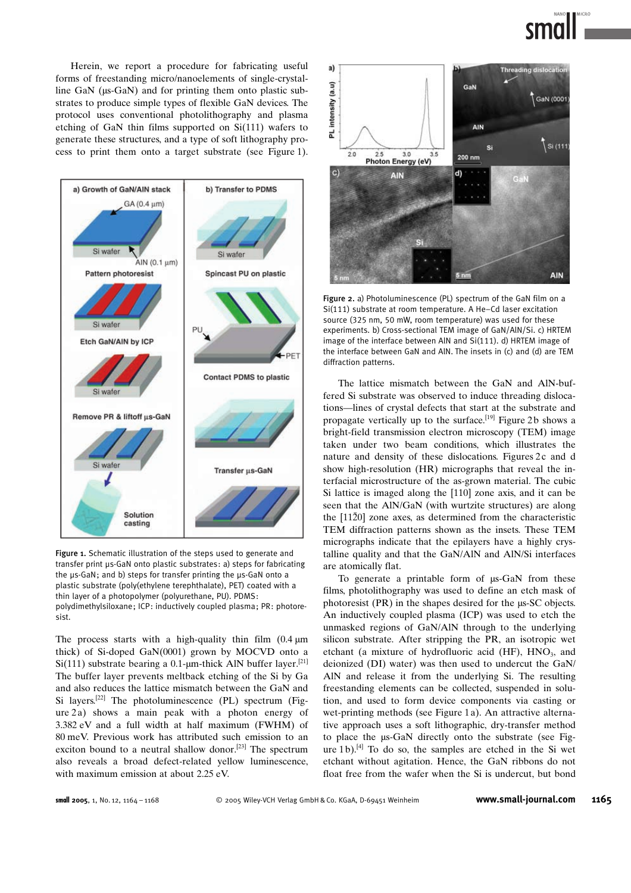Herein, we report a procedure for fabricating useful forms of freestanding micro/nanoelements of single-crystalline GaN ( $\mu$ s-GaN) and for printing them onto plastic substrates to produce simple types of flexible GaN devices. The protocol uses conventional photolithography and plasma etching of GaN thin films supported on Si(111) wafers to generate these structures, and a type of soft lithography process to print them onto a target substrate (see Figure 1).



Figure 1. Schematic illustration of the steps used to generate and transfer print µs-GaN onto plastic substrates: a) steps for fabricating the us-GaN; and b) steps for transfer printing the us-GaN onto a plastic substrate (poly(ethylene terephthalate), PET) coated with a thin layer of a photopolymer (polyurethane, PU). PDMS: polydimethylsiloxane; ICP: inductively coupled plasma; PR: photoresist.

The process starts with a high-quality thin film  $(0.4 \mu m)$ thick) of Si-doped GaN(0001) grown by MOCVD onto a  $Si(111)$  substrate bearing a 0.1-um-thick AlN buffer layer.<sup>[21]</sup> The buffer layer prevents meltback etching of the Si by Ga and also reduces the lattice mismatch between the GaN and Si layers.<sup>[22]</sup> The photoluminescence (PL) spectrum (Figure 2a) shows a main peak with a photon energy of 3.382 eV and a full width at half maximum (FWHM) of 80 meV. Previous work has attributed such emission to an exciton bound to a neutral shallow donor.<sup>[23]</sup> The spectrum also reveals a broad defect-related yellow luminescence, with maximum emission at about 2.25 eV.



Figure 2. a) Photoluminescence (PL) spectrum of the GaN film on a Si(111) substrate at room temperature. A He–Cd laser excitation source (325 nm, 50 mW, room temperature) was used for these experiments. b) Cross-sectional TEM image of GaN/AlN/Si. c) HRTEM image of the interface between AlN and Si(111). d) HRTEM image of the interface between GaN and AlN. The insets in (c) and (d) are TEM diffraction patterns.

The lattice mismatch between the GaN and AlN-buffered Si substrate was observed to induce threading dislocations—lines of crystal defects that start at the substrate and propagate vertically up to the surface.<sup>[19]</sup> Figure 2b shows a bright-field transmission electron microscopy (TEM) image taken under two beam conditions, which illustrates the nature and density of these dislocations. Figures 2c and d show high-resolution (HR) micrographs that reveal the interfacial microstructure of the as-grown material. The cubic Si lattice is imaged along the [110] zone axis, and it can be seen that the AlN/GaN (with wurtzite structures) are along the  $[11\bar{2}0]$  zone axes, as determined from the characteristic TEM diffraction patterns shown as the insets. These TEM micrographs indicate that the epilayers have a highly crystalline quality and that the GaN/AlN and AlN/Si interfaces are atomically flat.

To generate a printable form of  $\mu$ s-GaN from these films, photolithography was used to define an etch mask of photoresist  $(PR)$  in the shapes desired for the  $\mu$ s-SC objects. An inductively coupled plasma (ICP) was used to etch the unmasked regions of GaN/AlN through to the underlying silicon substrate. After stripping the PR, an isotropic wet etchant (a mixture of hydrofluoric acid  $(HF)$ ,  $HNO<sub>3</sub>$ , and deionized (DI) water) was then used to undercut the GaN/ AlN and release it from the underlying Si. The resulting freestanding elements can be collected, suspended in solution, and used to form device components via casting or wet-printing methods (see Figure 1 a). An attractive alternative approach uses a soft lithographic, dry-transfer method to place the  $\mu$ s-GaN directly onto the substrate (see Figure 1b).<sup>[4]</sup> To do so, the samples are etched in the Si wet etchant without agitation. Hence, the GaN ribbons do not float free from the wafer when the Si is undercut, but bond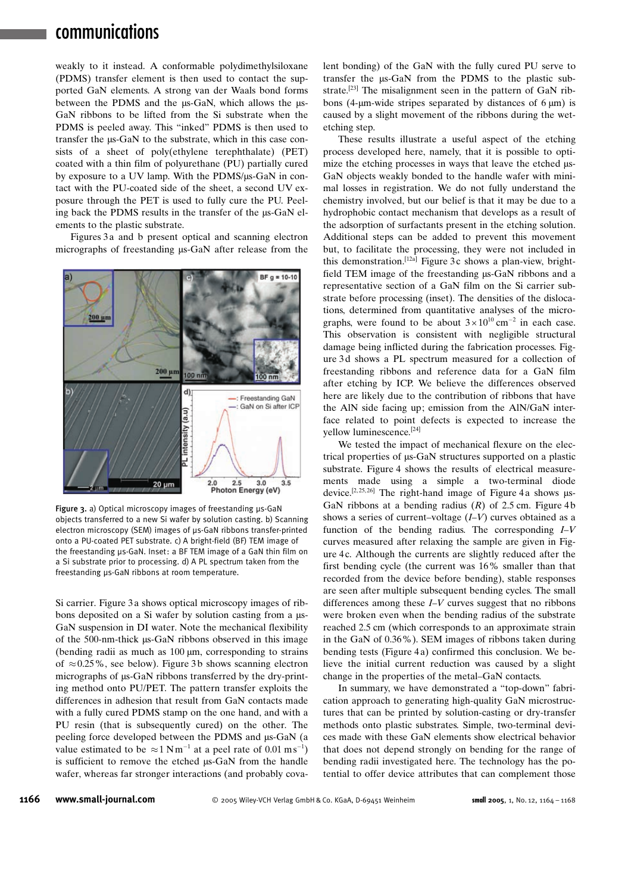# communications

weakly to it instead. A conformable polydimethylsiloxane (PDMS) transfer element is then used to contact the supported GaN elements. A strong van der Waals bond forms between the PDMS and the  $\mu$ s-GaN, which allows the  $\mu$ s-GaN ribbons to be lifted from the Si substrate when the PDMS is peeled away. This "inked" PDMS is then used to transfer the  $\mu$ s-GaN to the substrate, which in this case consists of a sheet of poly(ethylene terephthalate) (PET) coated with a thin film of polyurethane (PU) partially cured by exposure to a UV lamp. With the PDMS/ $\mu$ s-GaN in contact with the PU-coated side of the sheet, a second UV exposure through the PET is used to fully cure the PU. Peeling back the PDMS results in the transfer of the µs-GaN elements to the plastic substrate.

Figures 3 a and b present optical and scanning electron micrographs of freestanding  $\mu$ s-GaN after release from the



Figure 3. a) Optical microscopy images of freestanding  $\mu$ s-GaN objects transferred to a new Si wafer by solution casting. b) Scanning electron microscopy (SEM) images of us-GaN ribbons transfer-printed onto a PU-coated PET substrate. c) A bright-field (BF) TEM image of the freestanding us-GaN. Inset: a BF TEM image of a GaN thin film on a Si substrate prior to processing. d) A PL spectrum taken from the freestanding µs-GaN ribbons at room temperature.

Si carrier. Figure 3 a shows optical microscopy images of ribbons deposited on a Si wafer by solution casting from a  $\mu$ s-GaN suspension in DI water. Note the mechanical flexibility of the 500-nm-thick  $\mu$ s-GaN ribbons observed in this image (bending radii as much as  $100 \mu m$ , corresponding to strains of  $\approx 0.25\%$ , see below). Figure 3b shows scanning electron micrographs of  $\mu$ s-GaN ribbons transferred by the dry-printing method onto PU/PET. The pattern transfer exploits the differences in adhesion that result from GaN contacts made with a fully cured PDMS stamp on the one hand, and with a PU resin (that is subsequently cured) on the other. The peeling force developed between the PDMS and  $\mu$ s-GaN (a value estimated to be  $\approx 1 \text{ N m}^{-1}$  at a peel rate of 0.01 ms<sup>-1</sup>) is sufficient to remove the etched  $\mu$ s-GaN from the handle wafer, whereas far stronger interactions (and probably covalent bonding) of the GaN with the fully cured PU serve to transfer the  $\mu$ s-GaN from the PDMS to the plastic substrate.<sup>[23]</sup> The misalignment seen in the pattern of GaN ribbons (4- $\mu$ m-wide stripes separated by distances of 6  $\mu$ m) is caused by a slight movement of the ribbons during the wetetching step.

These results illustrate a useful aspect of the etching process developed here, namely, that it is possible to optimize the etching processes in ways that leave the etched us-GaN objects weakly bonded to the handle wafer with minimal losses in registration. We do not fully understand the chemistry involved, but our belief is that it may be due to a hydrophobic contact mechanism that develops as a result of the adsorption of surfactants present in the etching solution. Additional steps can be added to prevent this movement but, to facilitate the processing, they were not included in this demonstration.<sup>[12a]</sup> Figure 3c shows a plan-view, brightfield TEM image of the freestanding  $\mu$ s-GaN ribbons and a representative section of a GaN film on the Si carrier substrate before processing (inset). The densities of the dislocations, determined from quantitative analyses of the micrographs, were found to be about  $3 \times 10^{10}$  cm<sup>-2</sup> in each case. This observation is consistent with negligible structural damage being inflicted during the fabrication processes. Figure 3d shows a PL spectrum measured for a collection of freestanding ribbons and reference data for a GaN film after etching by ICP. We believe the differences observed here are likely due to the contribution of ribbons that have the AlN side facing up; emission from the AlN/GaN interface related to point defects is expected to increase the yellow luminescence.[24]

We tested the impact of mechanical flexure on the electrical properties of  $\mu$ s-GaN structures supported on a plastic substrate. Figure 4 shows the results of electrical measurements made using a simple a two-terminal diode device.<sup>[2,25,26]</sup> The right-hand image of Figure 4a shows  $\mu$ s-GaN ribbons at a bending radius  $(R)$  of 2.5 cm. Figure 4b shows a series of current–voltage  $(I-V)$  curves obtained as a function of the bending radius. The corresponding  $I-V$ curves measured after relaxing the sample are given in Figure 4 c. Although the currents are slightly reduced after the first bending cycle (the current was 16% smaller than that recorded from the device before bending), stable responses are seen after multiple subsequent bending cycles. The small differences among these I–V curves suggest that no ribbons were broken even when the bending radius of the substrate reached 2.5 cm (which corresponds to an approximate strain in the GaN of 0.36%). SEM images of ribbons taken during bending tests (Figure 4 a) confirmed this conclusion. We believe the initial current reduction was caused by a slight change in the properties of the metal–GaN contacts.

In summary, we have demonstrated a "top-down" fabrication approach to generating high-quality GaN microstructures that can be printed by solution-casting or dry-transfer methods onto plastic substrates. Simple, two-terminal devices made with these GaN elements show electrical behavior that does not depend strongly on bending for the range of bending radii investigated here. The technology has the potential to offer device attributes that can complement those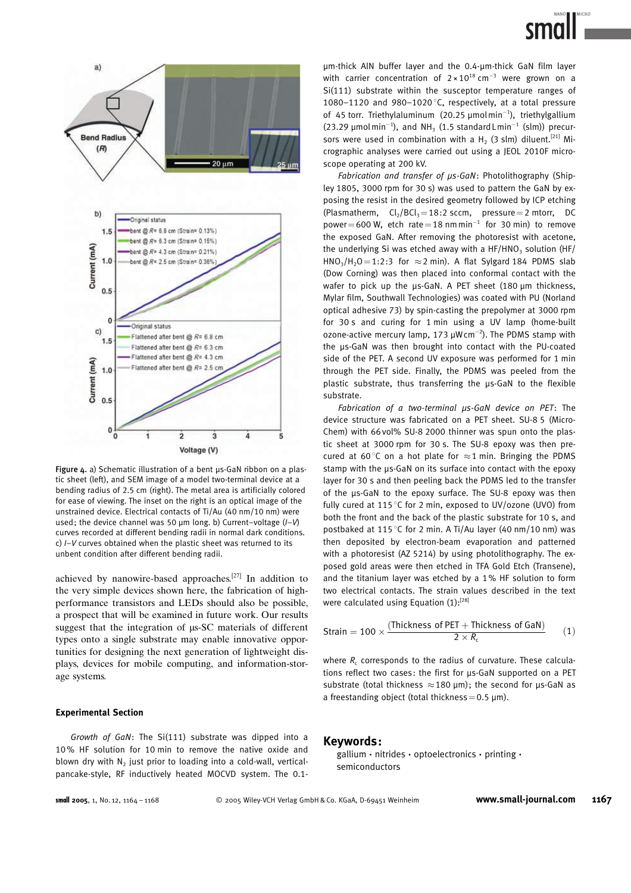

Figure  $4.$  a) Schematic illustration of a bent  $\mu$ s-GaN ribbon on a plastic sheet (left), and SEM image of a model two-terminal device at a bending radius of 2.5 cm (right). The metal area is artificially colored for ease of viewing. The inset on the right is an optical image of the unstrained device. Electrical contacts of Ti/Au (40 nm/10 nm) were used; the device channel was 50  $\mu$ m long. b) Current–voltage ( $I-V$ ) curves recorded at different bending radii in normal dark conditions. c) I–V curves obtained when the plastic sheet was returned to its unbent condition after different bending radii.

achieved by nanowire-based approaches.[27] In addition to the very simple devices shown here, the fabrication of highperformance transistors and LEDs should also be possible, a prospect that will be examined in future work. Our results suggest that the integration of  $\mu$ s-SC materials of different types onto a single substrate may enable innovative opportunities for designing the next generation of lightweight displays, devices for mobile computing, and information-storage systems.

### Experimental Section

Growth of GaN: The Si(111) substrate was dipped into a 10% HF solution for 10 min to remove the native oxide and blown dry with  $N_2$  just prior to loading into a cold-wall, verticalpancake-style, RF inductively heated MOCVD system. The 0.1-

um-thick AIN buffer layer and the 0.4-um-thick GaN film layer with carrier concentration of  $2 \times 10^{18}$  cm<sup>-3</sup> were grown on a Si(111) substrate within the susceptor temperature ranges of 1080–1120 and 980–1020 $\degree$ C, respectively, at a total pressure of 45 torr. Triethylaluminum (20.25  $\mu$ molmin<sup>-1</sup>), triethylgallium (23.29  $\mu$ molmin<sup>-1</sup>), and NH<sub>3</sub> (1.5 standard Lmin<sup>-1</sup> (slm)) precursors were used in combination with a H<sub>2</sub> (3 slm) diluent.<sup>[21]</sup> Micrographic analyses were carried out using a JEOL 2010F microscope operating at 200 kV.

Fabrication and transfer of us-GaN: Photolithography (Shipley 1805, 3000 rpm for 30 s) was used to pattern the GaN by exposing the resist in the desired geometry followed by ICP etching (Plasmatherm,  $Cl<sub>2</sub>/BCl<sub>3</sub>=18:2$  sccm, pressure = 2 mtorr, DC power=600 W, etch rate=18 nmmin<sup>-1</sup> for 30 min) to remove the exposed GaN. After removing the photoresist with acetone, the underlying Si was etched away with a  $HF/HNO<sub>3</sub>$  solution (HF/  $HNO<sub>3</sub>/H<sub>2</sub>O = 1:2:3$  for  $\approx$  2 min). A flat Sylgard 184 PDMS slab (Dow Corning) was then placed into conformal contact with the wafer to pick up the us-GaN. A PET sheet (180 um thickness, Mylar film, Southwall Technologies) was coated with PU (Norland optical adhesive 73) by spin-casting the prepolymer at 3000 rpm for 30 s and curing for 1 min using a UV lamp (home-built ozone-active mercury lamp, 173  $\mu$ W cm<sup>-2</sup>). The PDMS stamp with the µs-GaN was then brought into contact with the PU-coated side of the PET. A second UV exposure was performed for 1 min through the PET side. Finally, the PDMS was peeled from the plastic substrate, thus transferring the µs-GaN to the flexible substrate.

Fabrication of a two-terminal  $\mu$ s-GaN device on PET: The device structure was fabricated on a PET sheet. SU-8 5 (Micro-Chem) with 66 vol% SU-8 2000 thinner was spun onto the plastic sheet at 3000 rpm for 30 s. The SU-8 epoxy was then precured at 60 $\degree$ C on a hot plate for  $\approx$  1 min. Bringing the PDMS stamp with the µs-GaN on its surface into contact with the epoxy layer for 30 s and then peeling back the PDMS led to the transfer of the µs-GaN to the epoxy surface. The SU-8 epoxy was then fully cured at 115 $\degree$ C for 2 min, exposed to UV/ozone (UVO) from both the front and the back of the plastic substrate for 10 s, and postbaked at 115 $\degree$ C for 2 min. A Ti/Au layer (40 nm/10 nm) was then deposited by electron-beam evaporation and patterned with a photoresist (AZ 5214) by using photolithography. The exposed gold areas were then etched in TFA Gold Etch (Transene), and the titanium layer was etched by a 1% HF solution to form two electrical contacts. The strain values described in the text were calculated using Equation  $(1):^{[28]}$ 

Strain = 100 × 
$$
\frac{(Thichness of PET + Thichness of GaN)}{2 \times R_c}
$$
 (1)

where  $R_c$  corresponds to the radius of curvature. These calculations reflect two cases: the first for µs-GaN supported on a PET substrate (total thickness  $\approx$  180 µm); the second for µs-GaN as a freestanding object (total thickness =  $0.5 \mu m$ ).

### Keywords :

gallium · nitrides · optoelectronics · printing · semiconductors